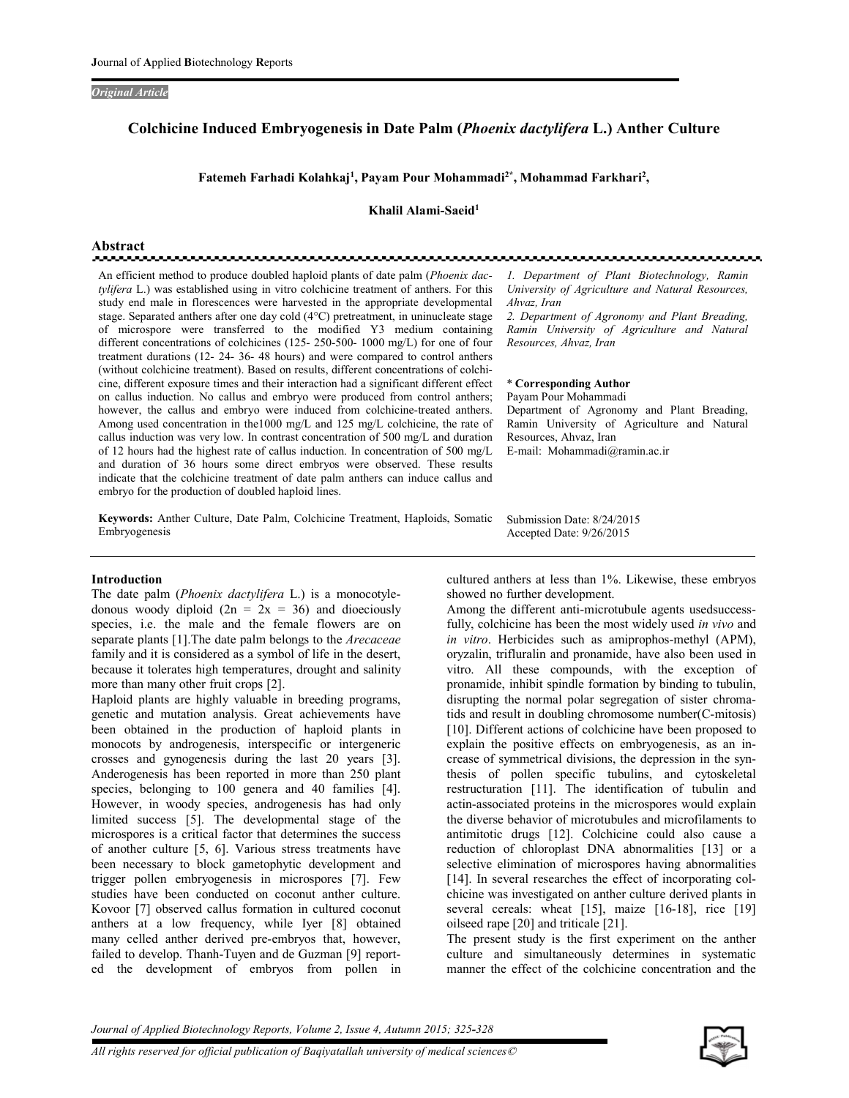## *Original Article*

## **Colchicine Induced Embryogenesis in Date Palm (***Phoenix dactylifera* **L.) Anther Culture**

## **Fatemeh Farhadi Kolahkaj<sup>1</sup> , Payam Pour Mohammadi2\*, Mohammad Farkhari<sup>2</sup> ,**

**Khalil Alami-Saeid<sup>1</sup>**

# **Abstract**

An efficient method to produce doubled haploid plants of date palm (*Phoenix dactylifera* L.) was established using in vitro colchicine treatment of anthers. For this study end male in florescences were harvested in the appropriate developmental stage. Separated anthers after one day cold (4°C) pretreatment, in uninucleate stage of microspore were transferred to the modified Y3 medium containing different concentrations of colchicines (125- 250-500- 1000 mg/L) for one of four treatment durations (12- 24- 36- 48 hours) and were compared to control anthers (without colchicine treatment). Based on results, different concentrations of colchicine, different exposure times and their interaction had a significant different effect on callus induction. No callus and embryo were produced from control anthers; however, the callus and embryo were induced from colchicine-treated anthers. Among used concentration in the1000 mg/L and 125 mg/L colchicine, the rate of callus induction was very low. In contrast concentration of 500 mg/L and duration of 12 hours had the highest rate of callus induction. In concentration of 500 mg/L and duration of 36 hours some direct embryos were observed. These results indicate that the colchicine treatment of date palm anthers can induce callus and embryo for the production of doubled haploid lines.

**Keywords:** Anther Culture, Date Palm, Colchicine Treatment, Haploids, Somatic Embryogenesis

#### **Introduction**

The date palm (*Phoenix dactylifera* L.) is a monocotyledonous woody diploid  $(2n = 2x = 36)$  and dioeciously species, i.e. the male and the female flowers are on separate plants [1].The date palm belongs to the *Arecaceae* family and it is considered as a symbol of life in the desert, because it tolerates high temperatures, drought and salinity more than many other fruit crops [2].

Haploid plants are highly valuable in breeding programs, genetic and mutation analysis. Great achievements have been obtained in the production of haploid plants in monocots by androgenesis, interspecific or intergeneric crosses and gynogenesis during the last 20 years [3]. Anderogenesis has been reported in more than 250 plant species, belonging to 100 genera and 40 families [4]. However, in woody species, androgenesis has had only limited success [5]. The developmental stage of the microspores is a critical factor that determines the success of another culture [5, 6]. Various stress treatments have been necessary to block gametophytic development and trigger pollen embryogenesis in microspores [7]. Few studies have been conducted on coconut anther culture. Kovoor [7] observed callus formation in cultured coconut anthers at a low frequency, while Iyer [8] obtained many celled anther derived pre-embryos that, however, failed to develop. Thanh-Tuyen and de Guzman [9] reported the development of embryos from pollen in

*1. Department of Plant Biotechnology, Ramin University of Agriculture and Natural Resources, Ahvaz, Iran* 

*2. Department of Agronomy and Plant Breading, Ramin University of Agriculture and Natural Resources, Ahvaz, Iran* 

#### \* **Corresponding Author**  Payam Pour Mohammadi

Department of Agronomy and Plant Breading, Ramin University of Agriculture and Natural Resources, Ahvaz, Iran E-mail: Mohammadi@ramin.ac.ir

Submission Date: 8/24/2015 Accepted Date: 9/26/2015

cultured anthers at less than 1%. Likewise, these embryos showed no further development.

Among the different anti-microtubule agents usedsuccessfully, colchicine has been the most widely used *in vivo* and *in vitro*. Herbicides such as amiprophos-methyl (APM), oryzalin, trifluralin and pronamide, have also been used in vitro. All these compounds, with the exception of pronamide, inhibit spindle formation by binding to tubulin, disrupting the normal polar segregation of sister chromatids and result in doubling chromosome number(C-mitosis) [10]. Different actions of colchicine have been proposed to explain the positive effects on embryogenesis, as an increase of symmetrical divisions, the depression in the synthesis of pollen specific tubulins, and cytoskeletal restructuration [11]. The identification of tubulin and actin-associated proteins in the microspores would explain the diverse behavior of microtubules and microfilaments to antimitotic drugs [12]. Colchicine could also cause a reduction of chloroplast DNA abnormalities [13] or a selective elimination of microspores having abnormalities [14]. In several researches the effect of incorporating colchicine was investigated on anther culture derived plants in several cereals: wheat [15], maize [16-18], rice [19] oilseed rape [20] and triticale [21].

The present study is the first experiment on the anther culture and simultaneously determines in systematic manner the effect of the colchicine concentration and the

*Journal of Applied Biotechnology Reports, Volume 2, Issue 4, Autumn 2015; 325-328*

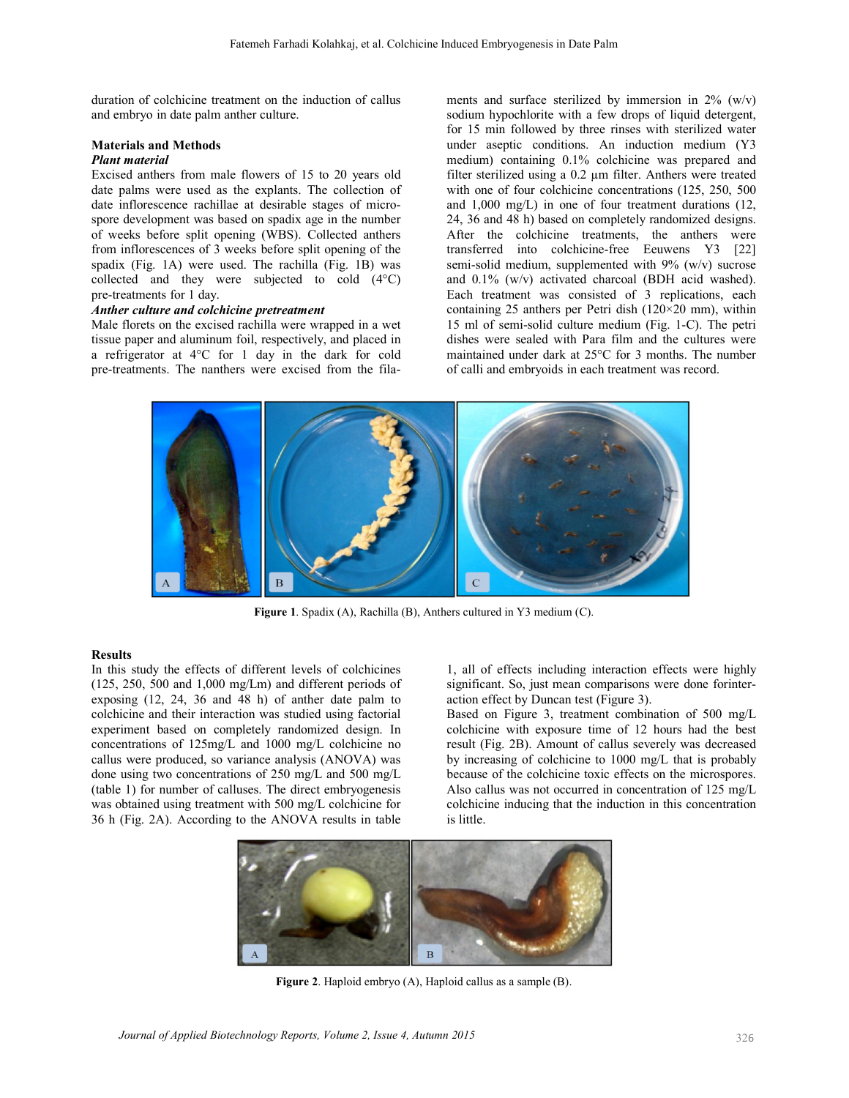duration of colchicine treatment on the induction of callus and embryo in date palm anther culture.

#### **Materials and Methods**  *Plant material*

Excised anthers from male flowers of 15 to 20 years old date palms were used as the explants. The collection of date inflorescence rachillae at desirable stages of microspore development was based on spadix age in the number of weeks before split opening (WBS). Collected anthers from inflorescences of 3 weeks before split opening of the spadix (Fig. 1A) were used. The rachilla (Fig. 1B) was collected and they were subjected to cold (4°C) pre-treatments for 1 day.

## *Anther culture and colchicine pretreatment*

Male florets on the excised rachilla were wrapped in a wet tissue paper and aluminum foil, respectively, and placed in a refrigerator at 4°C for 1 day in the dark for cold pre-treatments. The nanthers were excised from the filaments and surface sterilized by immersion in  $2\%$  (w/v) sodium hypochlorite with a few drops of liquid detergent, for 15 min followed by three rinses with sterilized water under aseptic conditions. An induction medium (Y3 medium) containing 0.1% colchicine was prepared and filter sterilized using a 0.2 µm filter. Anthers were treated with one of four colchicine concentrations (125, 250, 500 and 1,000 mg/L) in one of four treatment durations (12, 24, 36 and 48 h) based on completely randomized designs. After the colchicine treatments, the anthers were transferred into colchicine-free Eeuwens Y3 [22] semi-solid medium, supplemented with 9% (w/v) sucrose and 0.1% (w/v) activated charcoal (BDH acid washed). Each treatment was consisted of 3 replications, each containing 25 anthers per Petri dish (120×20 mm), within 15 ml of semi-solid culture medium (Fig. 1-C). The petri dishes were sealed with Para film and the cultures were maintained under dark at 25°C for 3 months. The number of calli and embryoids in each treatment was record.



**Figure 1**. Spadix (A), Rachilla (B), Anthers cultured in Y3 medium (C).

## **Results**

In this study the effects of different levels of colchicines (125, 250, 500 and 1,000 mg/Lm) and different periods of exposing (12, 24, 36 and 48 h) of anther date palm to colchicine and their interaction was studied using factorial experiment based on completely randomized design. In concentrations of 125mg/L and 1000 mg/L colchicine no callus were produced, so variance analysis (ANOVA) was done using two concentrations of 250 mg/L and 500 mg/L (table 1) for number of calluses. The direct embryogenesis was obtained using treatment with 500 mg/L colchicine for 36 h (Fig. 2A). According to the ANOVA results in table

1, all of effects including interaction effects were highly significant. So, just mean comparisons were done forinteraction effect by Duncan test (Figure 3).

Based on Figure 3, treatment combination of 500 mg/L colchicine with exposure time of 12 hours had the best result (Fig. 2B). Amount of callus severely was decreased by increasing of colchicine to 1000 mg/L that is probably because of the colchicine toxic effects on the microspores. Also callus was not occurred in concentration of 125 mg/L colchicine inducing that the induction in this concentration is little.



**Figure 2**. Haploid embryo (A), Haploid callus as a sample (B).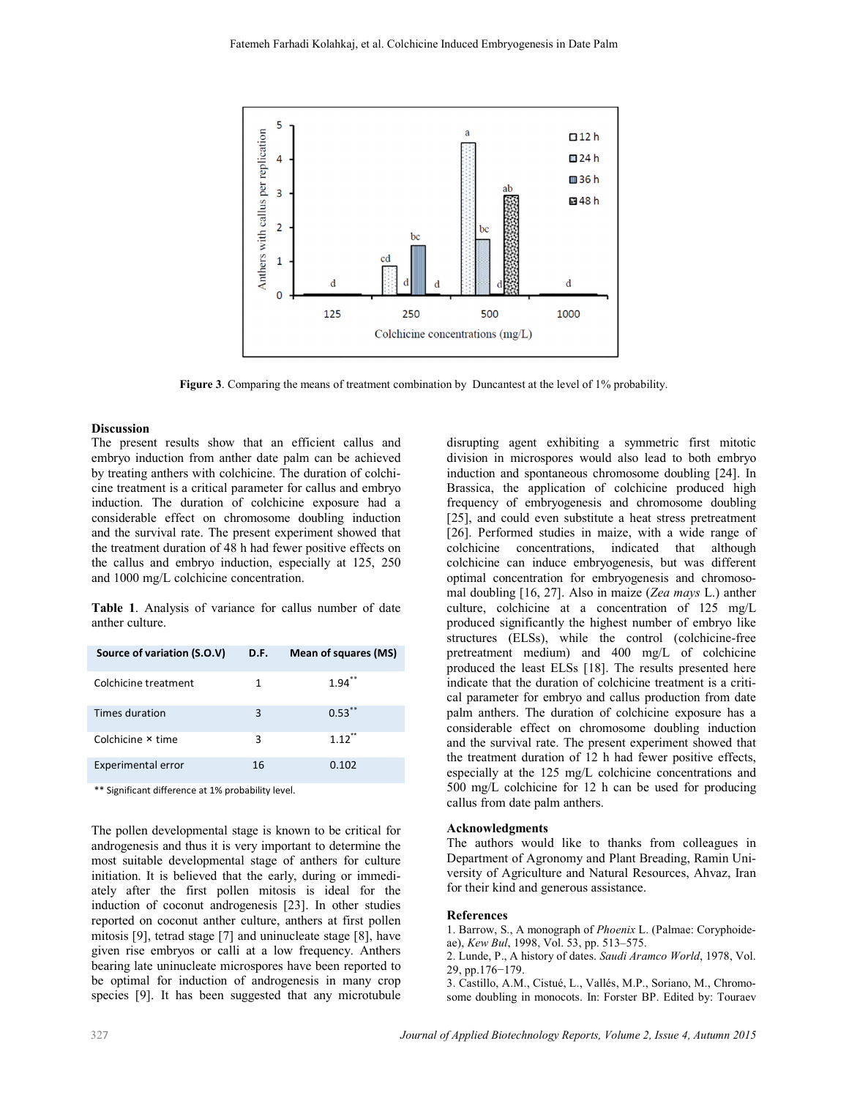

**Figure 3**. Comparing the means of treatment combination by Duncantest at the level of 1% probability.

## **Discussion**

The present results show that an efficient callus and embryo induction from anther date palm can be achieved by treating anthers with colchicine. The duration of colchicine treatment is a critical parameter for callus and embryo induction. The duration of colchicine exposure had a considerable effect on chromosome doubling induction and the survival rate. The present experiment showed that the treatment duration of 48 h had fewer positive effects on the callus and embryo induction, especially at 125, 250 and 1000 mg/L colchicine concentration.

**Table 1**. Analysis of variance for callus number of date anther culture.

| Source of variation (S.O.V) | D.F. | Mean of squares (MS) |
|-----------------------------|------|----------------------|
| Colchicine treatment        | 1    | $1.94$ <sup>**</sup> |
| Times duration              | З    | $0.53$ <sup>**</sup> |
| Colchicine × time           | 3    | 112"                 |
| Experimental error          | 16   | 0.102                |

\*\* Significant difference at 1% probability level.

The pollen developmental stage is known to be critical for androgenesis and thus it is very important to determine the most suitable developmental stage of anthers for culture initiation. It is believed that the early, during or immediately after the first pollen mitosis is ideal for the induction of coconut androgenesis [23]. In other studies reported on coconut anther culture, anthers at first pollen mitosis [9], tetrad stage [7] and uninucleate stage [8], have given rise embryos or calli at a low frequency. Anthers bearing late uninucleate microspores have been reported to be optimal for induction of androgenesis in many crop species [9]. It has been suggested that any microtubule

disrupting agent exhibiting a symmetric first mitotic division in microspores would also lead to both embryo induction and spontaneous chromosome doubling [24]. In Brassica, the application of colchicine produced high frequency of embryogenesis and chromosome doubling [25], and could even substitute a heat stress pretreatment [26]. Performed studies in maize, with a wide range of colchicine concentrations, indicated that although colchicine can induce embryogenesis, but was different optimal concentration for embryogenesis and chromosomal doubling [16, 27]. Also in maize (*Zea mays* L.) anther culture, colchicine at a concentration of 125 mg/L produced significantly the highest number of embryo like structures (ELSs), while the control (colchicine-free pretreatment medium) and 400 mg/L of colchicine produced the least ELSs [18]. The results presented here indicate that the duration of colchicine treatment is a critical parameter for embryo and callus production from date palm anthers. The duration of colchicine exposure has a considerable effect on chromosome doubling induction and the survival rate. The present experiment showed that the treatment duration of 12 h had fewer positive effects, especially at the 125 mg/L colchicine concentrations and 500 mg/L colchicine for 12 h can be used for producing callus from date palm anthers.

## **Acknowledgments**

The authors would like to thanks from colleagues in Department of Agronomy and Plant Breading, Ramin University of Agriculture and Natural Resources, Ahvaz, Iran for their kind and generous assistance.

## **References**

1. Barrow, S., A monograph of *Phoenix* L. (Palmae: Coryphoideae), *Kew Bul*, 1998, Vol. 53, pp. 513–575.

2. Lunde, P., A history of dates. *Saudi Aramco World*, 1978, Vol. 29, pp.176−179.

3. Castillo, A.M., Cistué, L., Vallés, M.P., Soriano, M., Chromosome doubling in monocots. In: Forster BP. Edited by: Touraev